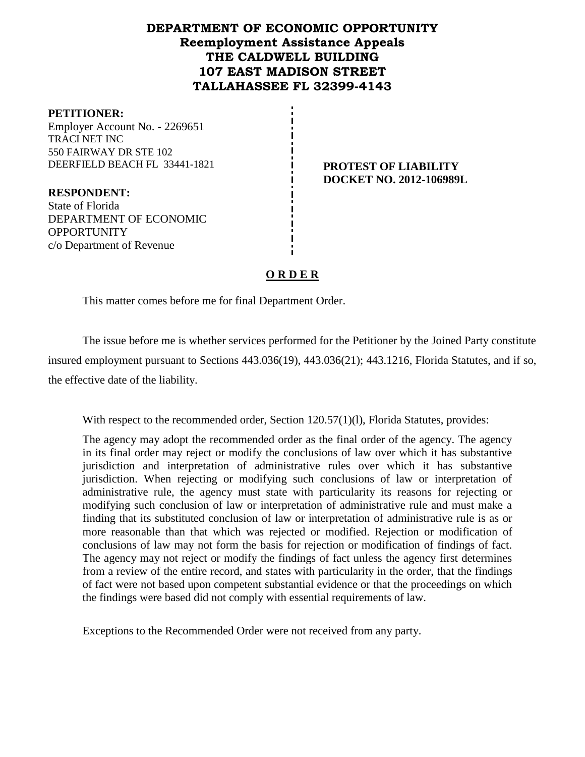# **DEPARTMENT OF ECONOMIC OPPORTUNITY Reemployment Assistance Appeals THE CALDWELL BUILDING 107 EAST MADISON STREET TALLAHASSEE FL 32399-4143**

#### **PETITIONER:**

Employer Account No. - 2269651 TRACI NET INC 550 FAIRWAY DR STE 102 DEERFIELD BEACH FL 33441-1821 **PROTEST OF LIABILITY** 

**RESPONDENT:** State of Florida DEPARTMENT OF ECONOMIC **OPPORTUNITY** c/o Department of Revenue

# **DOCKET NO. 2012-106989L**

# **O R D E R**

This matter comes before me for final Department Order.

The issue before me is whether services performed for the Petitioner by the Joined Party constitute insured employment pursuant to Sections 443.036(19), 443.036(21); 443.1216, Florida Statutes, and if so, the effective date of the liability.

With respect to the recommended order, Section 120.57(1)(1), Florida Statutes, provides:

The agency may adopt the recommended order as the final order of the agency. The agency in its final order may reject or modify the conclusions of law over which it has substantive jurisdiction and interpretation of administrative rules over which it has substantive jurisdiction. When rejecting or modifying such conclusions of law or interpretation of administrative rule, the agency must state with particularity its reasons for rejecting or modifying such conclusion of law or interpretation of administrative rule and must make a finding that its substituted conclusion of law or interpretation of administrative rule is as or more reasonable than that which was rejected or modified. Rejection or modification of conclusions of law may not form the basis for rejection or modification of findings of fact. The agency may not reject or modify the findings of fact unless the agency first determines from a review of the entire record, and states with particularity in the order, that the findings of fact were not based upon competent substantial evidence or that the proceedings on which the findings were based did not comply with essential requirements of law.

Exceptions to the Recommended Order were not received from any party.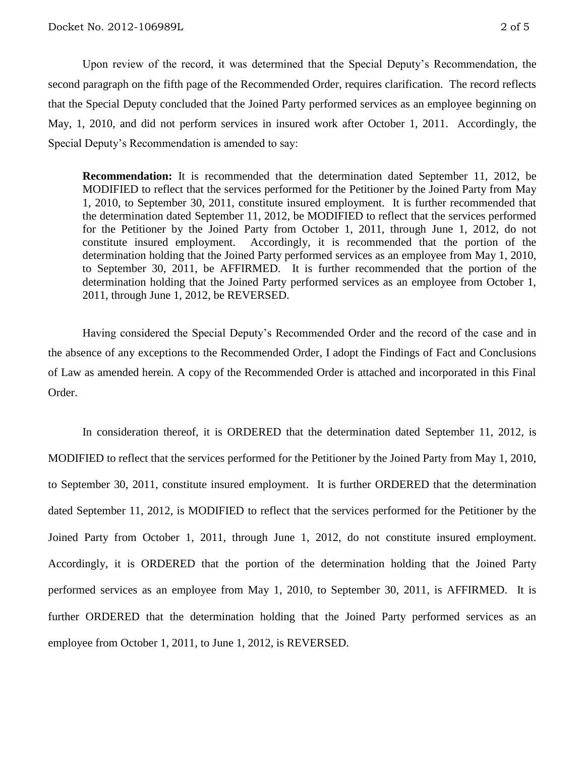Upon review of the record, it was determined that the Special Deputy's Recommendation, the second paragraph on the fifth page of the Recommended Order, requires clarification. The record reflects that the Special Deputy concluded that the Joined Party performed services as an employee beginning on May, 1, 2010, and did not perform services in insured work after October 1, 2011. Accordingly, the Special Deputy's Recommendation is amended to say:

**Recommendation:** It is recommended that the determination dated September 11, 2012, be MODIFIED to reflect that the services performed for the Petitioner by the Joined Party from May 1, 2010, to September 30, 2011, constitute insured employment. It is further recommended that the determination dated September 11, 2012, be MODIFIED to reflect that the services performed for the Petitioner by the Joined Party from October 1, 2011, through June 1, 2012, do not constitute insured employment. Accordingly, it is recommended that the portion of the determination holding that the Joined Party performed services as an employee from May 1, 2010, to September 30, 2011, be AFFIRMED. It is further recommended that the portion of the determination holding that the Joined Party performed services as an employee from October 1, 2011, through June 1, 2012, be REVERSED.

Having considered the Special Deputy's Recommended Order and the record of the case and in the absence of any exceptions to the Recommended Order, I adopt the Findings of Fact and Conclusions of Law as amended herein. A copy of the Recommended Order is attached and incorporated in this Final Order.

In consideration thereof, it is ORDERED that the determination dated September 11, 2012, is MODIFIED to reflect that the services performed for the Petitioner by the Joined Party from May 1, 2010, to September 30, 2011, constitute insured employment. It is further ORDERED that the determination dated September 11, 2012, is MODIFIED to reflect that the services performed for the Petitioner by the Joined Party from October 1, 2011, through June 1, 2012, do not constitute insured employment. Accordingly, it is ORDERED that the portion of the determination holding that the Joined Party performed services as an employee from May 1, 2010, to September 30, 2011, is AFFIRMED. It is further ORDERED that the determination holding that the Joined Party performed services as an employee from October 1, 2011, to June 1, 2012, is REVERSED.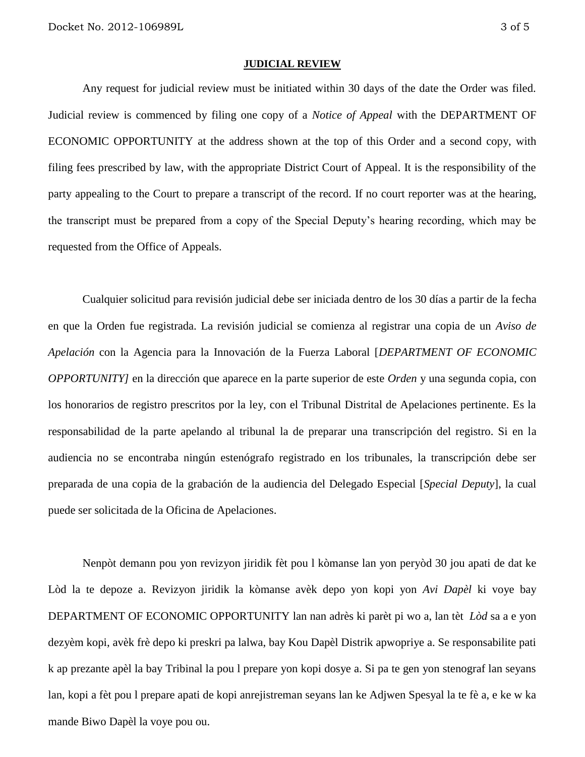#### **JUDICIAL REVIEW**

Any request for judicial review must be initiated within 30 days of the date the Order was filed. Judicial review is commenced by filing one copy of a *Notice of Appeal* with the DEPARTMENT OF ECONOMIC OPPORTUNITY at the address shown at the top of this Order and a second copy, with filing fees prescribed by law, with the appropriate District Court of Appeal. It is the responsibility of the party appealing to the Court to prepare a transcript of the record. If no court reporter was at the hearing, the transcript must be prepared from a copy of the Special Deputy's hearing recording, which may be requested from the Office of Appeals.

Cualquier solicitud para revisión judicial debe ser iniciada dentro de los 30 días a partir de la fecha en que la Orden fue registrada. La revisión judicial se comienza al registrar una copia de un *Aviso de Apelación* con la Agencia para la Innovación de la Fuerza Laboral [*DEPARTMENT OF ECONOMIC OPPORTUNITY]* en la dirección que aparece en la parte superior de este *Orden* y una segunda copia, con los honorarios de registro prescritos por la ley, con el Tribunal Distrital de Apelaciones pertinente. Es la responsabilidad de la parte apelando al tribunal la de preparar una transcripción del registro. Si en la audiencia no se encontraba ningún estenógrafo registrado en los tribunales, la transcripción debe ser preparada de una copia de la grabación de la audiencia del Delegado Especial [*Special Deputy*], la cual puede ser solicitada de la Oficina de Apelaciones.

Nenpòt demann pou yon revizyon jiridik fèt pou l kòmanse lan yon peryòd 30 jou apati de dat ke Lòd la te depoze a. Revizyon jiridik la kòmanse avèk depo yon kopi yon *Avi Dapèl* ki voye bay DEPARTMENT OF ECONOMIC OPPORTUNITY lan nan adrès ki parèt pi wo a, lan tèt *Lòd* sa a e yon dezyèm kopi, avèk frè depo ki preskri pa lalwa, bay Kou Dapèl Distrik apwopriye a. Se responsabilite pati k ap prezante apèl la bay Tribinal la pou l prepare yon kopi dosye a. Si pa te gen yon stenograf lan seyans lan, kopi a fèt pou l prepare apati de kopi anrejistreman seyans lan ke Adjwen Spesyal la te fè a, e ke w ka mande Biwo Dapèl la voye pou ou.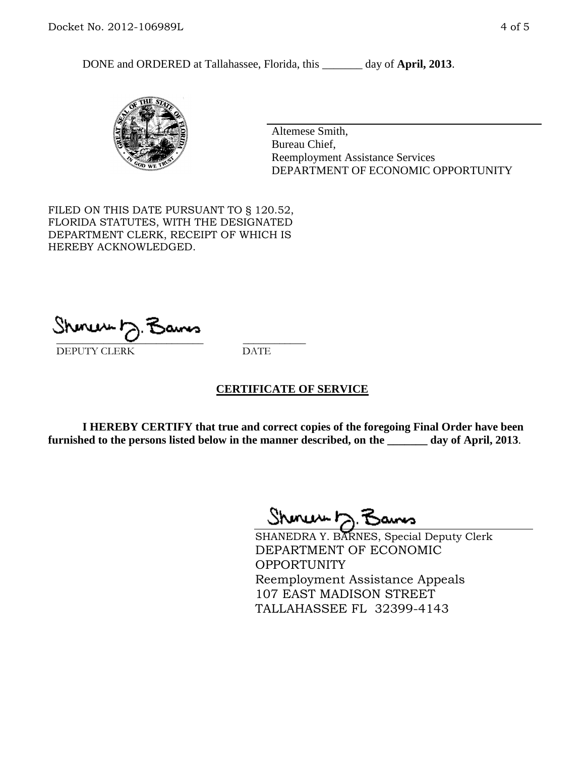DONE and ORDERED at Tallahassee, Florida, this \_\_\_\_\_\_\_ day of **April, 2013**.



Altemese Smith, Bureau Chief, Reemployment Assistance Services DEPARTMENT OF ECONOMIC OPPORTUNITY

FILED ON THIS DATE PURSUANT TO § 120.52, FLORIDA STATUTES, WITH THE DESIGNATED DEPARTMENT CLERK, RECEIPT OF WHICH IS HEREBY ACKNOWLEDGED.

 $\overline{\phantom{a}}$  ,  $\overline{\phantom{a}}$  ,  $\overline{\phantom{a}}$  ,  $\overline{\phantom{a}}$  ,  $\overline{\phantom{a}}$  ,  $\overline{\phantom{a}}$  ,  $\overline{\phantom{a}}$  ,  $\overline{\phantom{a}}$  ,  $\overline{\phantom{a}}$  ,  $\overline{\phantom{a}}$  ,  $\overline{\phantom{a}}$  ,  $\overline{\phantom{a}}$  ,  $\overline{\phantom{a}}$  ,  $\overline{\phantom{a}}$  ,  $\overline{\phantom{a}}$  ,  $\overline{\phantom{a}}$ DEPUTY CLERK DATE

### **CERTIFICATE OF SERVICE**

**I HEREBY CERTIFY that true and correct copies of the foregoing Final Order have been furnished to the persons listed below in the manner described, on the \_\_\_\_\_\_\_ day of April, 2013**.

Shinew D.F

SHANEDRA Y. BARNES, Special Deputy Clerk DEPARTMENT OF ECONOMIC OPPORTUNITY Reemployment Assistance Appeals 107 EAST MADISON STREET TALLAHASSEE FL 32399-4143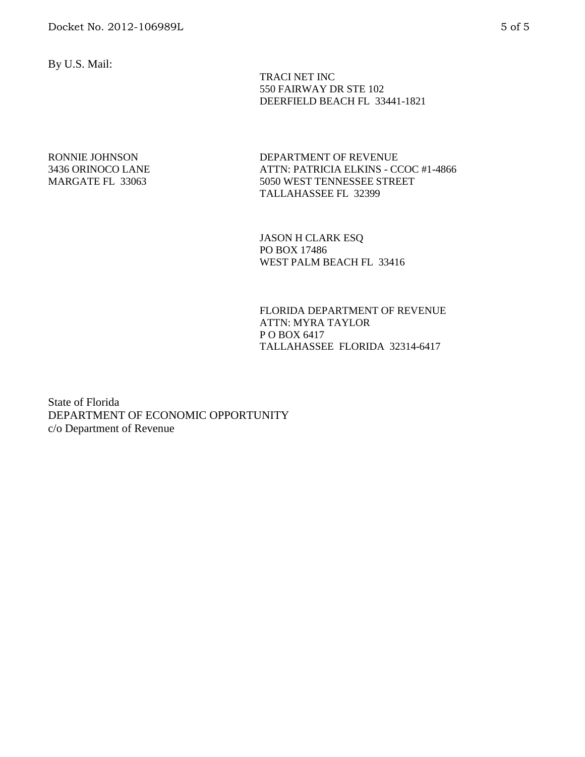By U.S. Mail:

 TRACI NET INC 550 FAIRWAY DR STE 102 DEERFIELD BEACH FL 33441-1821

#### RONNIE JOHNSON 3436 ORINOCO LANE MARGATE FL 33063

DEPARTMENT OF REVENUE ATTN: PATRICIA ELKINS - CCOC #1-4866 5050 WEST TENNESSEE STREET TALLAHASSEE FL 32399

JASON H CLARK ESQ PO BOX 17486 WEST PALM BEACH FL 33416

FLORIDA DEPARTMENT OF REVENUE ATTN: MYRA TAYLOR P O BOX 6417 TALLAHASSEE FLORIDA 32314-6417

State of Florida DEPARTMENT OF ECONOMIC OPPORTUNITY c/o Department of Revenue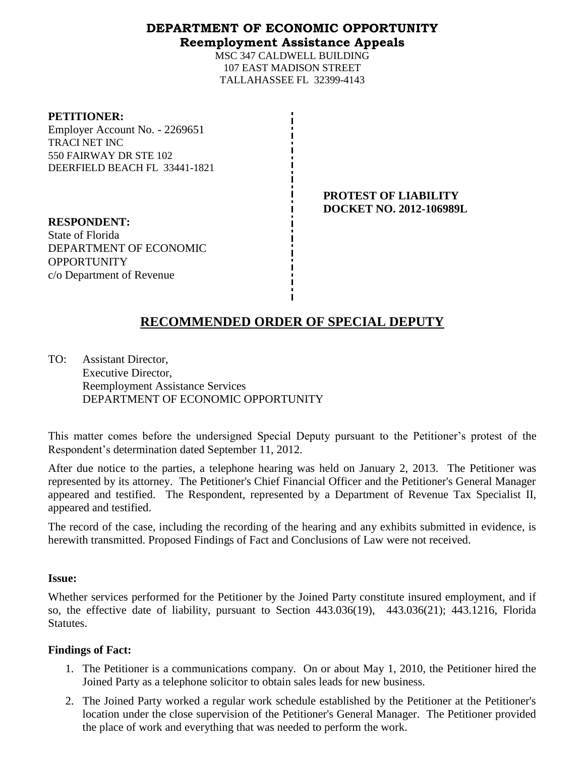# **DEPARTMENT OF ECONOMIC OPPORTUNITY Reemployment Assistance Appeals**

MSC 347 CALDWELL BUILDING 107 EAST MADISON STREET TALLAHASSEE FL 32399-4143

#### **PETITIONER:**

Employer Account No. - 2269651 TRACI NET INC 550 FAIRWAY DR STE 102 DEERFIELD BEACH FL 33441-1821

> **PROTEST OF LIABILITY DOCKET NO. 2012-106989L**

**RESPONDENT:** State of Florida DEPARTMENT OF ECONOMIC OPPORTUNITY c/o Department of Revenue

# **RECOMMENDED ORDER OF SPECIAL DEPUTY**

TO: Assistant Director, Executive Director, Reemployment Assistance Services DEPARTMENT OF ECONOMIC OPPORTUNITY

This matter comes before the undersigned Special Deputy pursuant to the Petitioner's protest of the Respondent's determination dated September 11, 2012.

After due notice to the parties, a telephone hearing was held on January 2, 2013. The Petitioner was represented by its attorney. The Petitioner's Chief Financial Officer and the Petitioner's General Manager appeared and testified. The Respondent, represented by a Department of Revenue Tax Specialist II, appeared and testified.

The record of the case, including the recording of the hearing and any exhibits submitted in evidence, is herewith transmitted. Proposed Findings of Fact and Conclusions of Law were not received.

### **Issue:**

Whether services performed for the Petitioner by the Joined Party constitute insured employment, and if so, the effective date of liability, pursuant to Section 443.036(19), 443.036(21); 443.1216, Florida Statutes.

### **Findings of Fact:**

- 1. The Petitioner is a communications company. On or about May 1, 2010, the Petitioner hired the Joined Party as a telephone solicitor to obtain sales leads for new business.
- 2. The Joined Party worked a regular work schedule established by the Petitioner at the Petitioner's location under the close supervision of the Petitioner's General Manager. The Petitioner provided the place of work and everything that was needed to perform the work.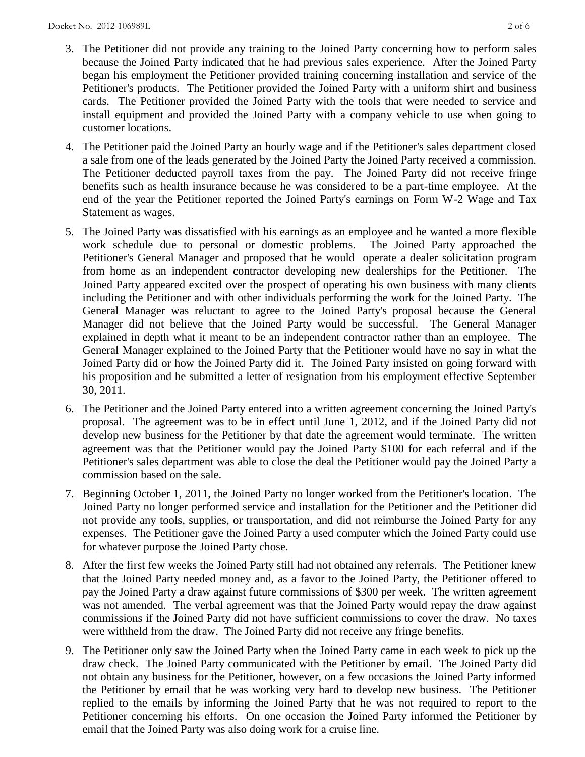- 3. The Petitioner did not provide any training to the Joined Party concerning how to perform sales because the Joined Party indicated that he had previous sales experience. After the Joined Party began his employment the Petitioner provided training concerning installation and service of the Petitioner's products. The Petitioner provided the Joined Party with a uniform shirt and business cards. The Petitioner provided the Joined Party with the tools that were needed to service and install equipment and provided the Joined Party with a company vehicle to use when going to customer locations.
- 4. The Petitioner paid the Joined Party an hourly wage and if the Petitioner's sales department closed a sale from one of the leads generated by the Joined Party the Joined Party received a commission. The Petitioner deducted payroll taxes from the pay. The Joined Party did not receive fringe benefits such as health insurance because he was considered to be a part-time employee. At the end of the year the Petitioner reported the Joined Party's earnings on Form W-2 Wage and Tax Statement as wages.
- 5. The Joined Party was dissatisfied with his earnings as an employee and he wanted a more flexible work schedule due to personal or domestic problems. The Joined Party approached the Petitioner's General Manager and proposed that he would operate a dealer solicitation program from home as an independent contractor developing new dealerships for the Petitioner. The Joined Party appeared excited over the prospect of operating his own business with many clients including the Petitioner and with other individuals performing the work for the Joined Party. The General Manager was reluctant to agree to the Joined Party's proposal because the General Manager did not believe that the Joined Party would be successful. The General Manager explained in depth what it meant to be an independent contractor rather than an employee. The General Manager explained to the Joined Party that the Petitioner would have no say in what the Joined Party did or how the Joined Party did it. The Joined Party insisted on going forward with his proposition and he submitted a letter of resignation from his employment effective September 30, 2011.
- 6. The Petitioner and the Joined Party entered into a written agreement concerning the Joined Party's proposal. The agreement was to be in effect until June 1, 2012, and if the Joined Party did not develop new business for the Petitioner by that date the agreement would terminate. The written agreement was that the Petitioner would pay the Joined Party \$100 for each referral and if the Petitioner's sales department was able to close the deal the Petitioner would pay the Joined Party a commission based on the sale.
- 7. Beginning October 1, 2011, the Joined Party no longer worked from the Petitioner's location. The Joined Party no longer performed service and installation for the Petitioner and the Petitioner did not provide any tools, supplies, or transportation, and did not reimburse the Joined Party for any expenses. The Petitioner gave the Joined Party a used computer which the Joined Party could use for whatever purpose the Joined Party chose.
- 8. After the first few weeks the Joined Party still had not obtained any referrals. The Petitioner knew that the Joined Party needed money and, as a favor to the Joined Party, the Petitioner offered to pay the Joined Party a draw against future commissions of \$300 per week. The written agreement was not amended. The verbal agreement was that the Joined Party would repay the draw against commissions if the Joined Party did not have sufficient commissions to cover the draw. No taxes were withheld from the draw. The Joined Party did not receive any fringe benefits.
- 9. The Petitioner only saw the Joined Party when the Joined Party came in each week to pick up the draw check. The Joined Party communicated with the Petitioner by email. The Joined Party did not obtain any business for the Petitioner, however, on a few occasions the Joined Party informed the Petitioner by email that he was working very hard to develop new business. The Petitioner replied to the emails by informing the Joined Party that he was not required to report to the Petitioner concerning his efforts. On one occasion the Joined Party informed the Petitioner by email that the Joined Party was also doing work for a cruise line.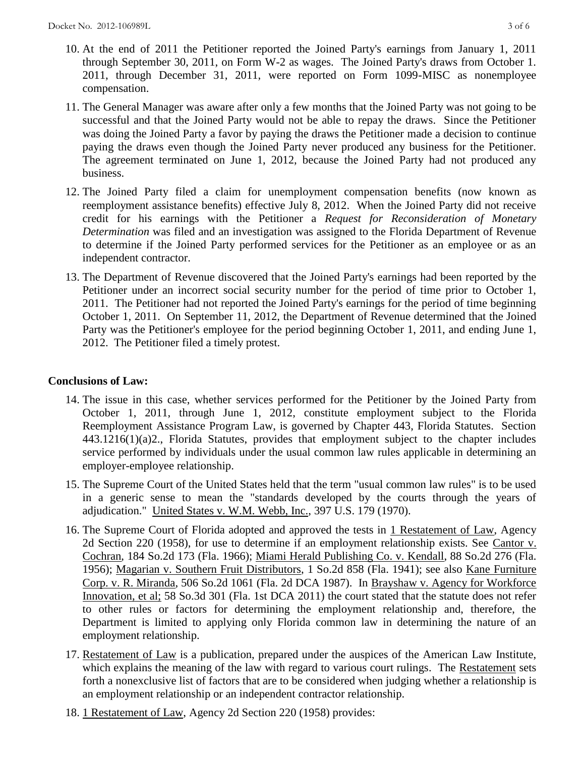- 10. At the end of 2011 the Petitioner reported the Joined Party's earnings from January 1, 2011 through September 30, 2011, on Form W-2 as wages. The Joined Party's draws from October 1. 2011, through December 31, 2011, were reported on Form 1099-MISC as nonemployee compensation.
- 11. The General Manager was aware after only a few months that the Joined Party was not going to be successful and that the Joined Party would not be able to repay the draws. Since the Petitioner was doing the Joined Party a favor by paying the draws the Petitioner made a decision to continue paying the draws even though the Joined Party never produced any business for the Petitioner. The agreement terminated on June 1, 2012, because the Joined Party had not produced any business.
- 12. The Joined Party filed a claim for unemployment compensation benefits (now known as reemployment assistance benefits) effective July 8, 2012. When the Joined Party did not receive credit for his earnings with the Petitioner a *Request for Reconsideration of Monetary Determination* was filed and an investigation was assigned to the Florida Department of Revenue to determine if the Joined Party performed services for the Petitioner as an employee or as an independent contractor.
- 13. The Department of Revenue discovered that the Joined Party's earnings had been reported by the Petitioner under an incorrect social security number for the period of time prior to October 1, 2011. The Petitioner had not reported the Joined Party's earnings for the period of time beginning October 1, 2011. On September 11, 2012, the Department of Revenue determined that the Joined Party was the Petitioner's employee for the period beginning October 1, 2011, and ending June 1, 2012. The Petitioner filed a timely protest.

# **Conclusions of Law:**

- 14. The issue in this case, whether services performed for the Petitioner by the Joined Party from October 1, 2011, through June 1, 2012, constitute employment subject to the Florida Reemployment Assistance Program Law, is governed by Chapter 443, Florida Statutes. Section 443.1216(1)(a)2., Florida Statutes, provides that employment subject to the chapter includes service performed by individuals under the usual common law rules applicable in determining an employer-employee relationship.
- 15. The Supreme Court of the United States held that the term "usual common law rules" is to be used in a generic sense to mean the "standards developed by the courts through the years of adjudication." United States v. W.M. Webb, Inc., 397 U.S. 179 (1970).
- 16. The Supreme Court of Florida adopted and approved the tests in 1 Restatement of Law, Agency 2d Section 220 (1958), for use to determine if an employment relationship exists. See Cantor v. Cochran, 184 So.2d 173 (Fla. 1966); Miami Herald Publishing Co. v. Kendall, 88 So.2d 276 (Fla. 1956); Magarian v. Southern Fruit Distributors, 1 So.2d 858 (Fla. 1941); see also Kane Furniture Corp. v. R. Miranda, 506 So.2d 1061 (Fla. 2d DCA 1987). In Brayshaw v. Agency for Workforce Innovation, et al; 58 So.3d 301 (Fla. 1st DCA 2011) the court stated that the statute does not refer to other rules or factors for determining the employment relationship and, therefore, the Department is limited to applying only Florida common law in determining the nature of an employment relationship.
- 17. Restatement of Law is a publication, prepared under the auspices of the American Law Institute, which explains the meaning of the law with regard to various court rulings. The Restatement sets forth a nonexclusive list of factors that are to be considered when judging whether a relationship is an employment relationship or an independent contractor relationship.
- 18. 1 Restatement of Law, Agency 2d Section 220 (1958) provides: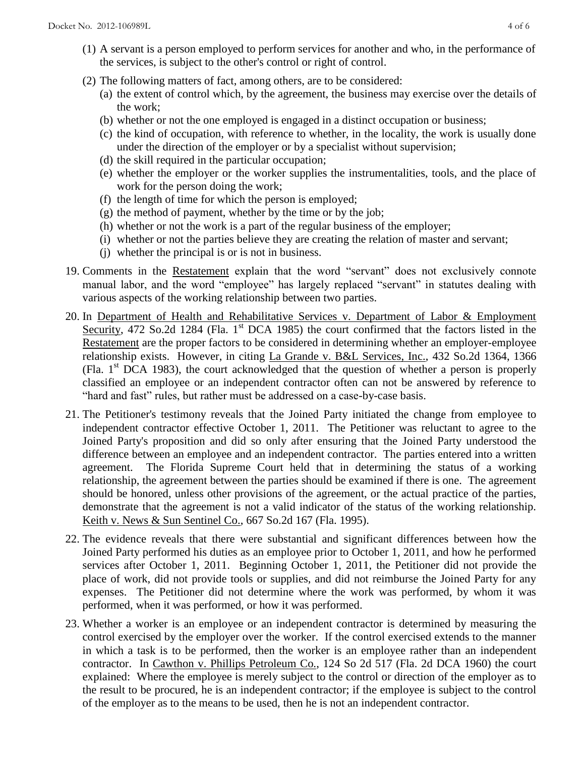- (1) A servant is a person employed to perform services for another and who, in the performance of the services, is subject to the other's control or right of control.
- (2) The following matters of fact, among others, are to be considered:
	- (a) the extent of control which, by the agreement, the business may exercise over the details of the work;
	- (b) whether or not the one employed is engaged in a distinct occupation or business;
	- (c) the kind of occupation, with reference to whether, in the locality, the work is usually done under the direction of the employer or by a specialist without supervision;
	- (d) the skill required in the particular occupation;
	- (e) whether the employer or the worker supplies the instrumentalities, tools, and the place of work for the person doing the work;
	- (f) the length of time for which the person is employed;
	- (g) the method of payment, whether by the time or by the job;
	- (h) whether or not the work is a part of the regular business of the employer;
	- (i) whether or not the parties believe they are creating the relation of master and servant;
	- (j) whether the principal is or is not in business.
- 19. Comments in the Restatement explain that the word "servant" does not exclusively connote manual labor, and the word "employee" has largely replaced "servant" in statutes dealing with various aspects of the working relationship between two parties.
- 20. In Department of Health and Rehabilitative Services v. Department of Labor & Employment Security, 472 So.2d 1284 (Fla. 1<sup>st</sup> DCA 1985) the court confirmed that the factors listed in the Restatement are the proper factors to be considered in determining whether an employer-employee relationship exists. However, in citing La Grande v. B&L Services, Inc., 432 So.2d 1364, 1366 (Fla.  $1<sup>st</sup> DCA$  1983), the court acknowledged that the question of whether a person is properly classified an employee or an independent contractor often can not be answered by reference to "hard and fast" rules, but rather must be addressed on a case-by-case basis.
- 21. The Petitioner's testimony reveals that the Joined Party initiated the change from employee to independent contractor effective October 1, 2011. The Petitioner was reluctant to agree to the Joined Party's proposition and did so only after ensuring that the Joined Party understood the difference between an employee and an independent contractor. The parties entered into a written agreement. The Florida Supreme Court held that in determining the status of a working relationship, the agreement between the parties should be examined if there is one. The agreement should be honored, unless other provisions of the agreement, or the actual practice of the parties, demonstrate that the agreement is not a valid indicator of the status of the working relationship. Keith v. News & Sun Sentinel Co., 667 So.2d 167 (Fla. 1995).
- 22. The evidence reveals that there were substantial and significant differences between how the Joined Party performed his duties as an employee prior to October 1, 2011, and how he performed services after October 1, 2011. Beginning October 1, 2011, the Petitioner did not provide the place of work, did not provide tools or supplies, and did not reimburse the Joined Party for any expenses. The Petitioner did not determine where the work was performed, by whom it was performed, when it was performed, or how it was performed.
- 23. Whether a worker is an employee or an independent contractor is determined by measuring the control exercised by the employer over the worker. If the control exercised extends to the manner in which a task is to be performed, then the worker is an employee rather than an independent contractor. In Cawthon v. Phillips Petroleum Co., 124 So 2d 517 (Fla. 2d DCA 1960) the court explained: Where the employee is merely subject to the control or direction of the employer as to the result to be procured, he is an independent contractor; if the employee is subject to the control of the employer as to the means to be used, then he is not an independent contractor.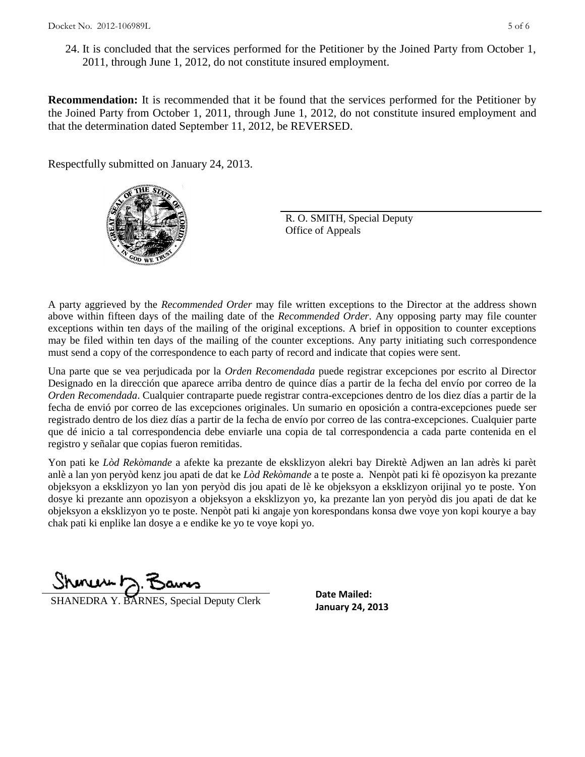24. It is concluded that the services performed for the Petitioner by the Joined Party from October 1, 2011, through June 1, 2012, do not constitute insured employment.

**Recommendation:** It is recommended that it be found that the services performed for the Petitioner by the Joined Party from October 1, 2011, through June 1, 2012, do not constitute insured employment and that the determination dated September 11, 2012, be REVERSED.

Respectfully submitted on January 24, 2013.



R. O. SMITH, Special Deputy Office of Appeals

A party aggrieved by the *Recommended Order* may file written exceptions to the Director at the address shown above within fifteen days of the mailing date of the *Recommended Order*. Any opposing party may file counter exceptions within ten days of the mailing of the original exceptions. A brief in opposition to counter exceptions may be filed within ten days of the mailing of the counter exceptions. Any party initiating such correspondence must send a copy of the correspondence to each party of record and indicate that copies were sent.

Una parte que se vea perjudicada por la *Orden Recomendada* puede registrar excepciones por escrito al Director Designado en la dirección que aparece arriba dentro de quince días a partir de la fecha del envío por correo de la *Orden Recomendada*. Cualquier contraparte puede registrar contra-excepciones dentro de los diez días a partir de la fecha de envió por correo de las excepciones originales. Un sumario en oposición a contra-excepciones puede ser registrado dentro de los diez días a partir de la fecha de envío por correo de las contra-excepciones. Cualquier parte que dé inicio a tal correspondencia debe enviarle una copia de tal correspondencia a cada parte contenida en el registro y señalar que copias fueron remitidas.

Yon pati ke *Lòd Rekòmande* a afekte ka prezante de eksklizyon alekri bay Direktè Adjwen an lan adrès ki parèt anlè a lan yon peryòd kenz jou apati de dat ke *Lòd Rekòmande* a te poste a. Nenpòt pati ki fè opozisyon ka prezante objeksyon a eksklizyon yo lan yon peryòd dis jou apati de lè ke objeksyon a eksklizyon orijinal yo te poste. Yon dosye ki prezante ann opozisyon a objeksyon a eksklizyon yo, ka prezante lan yon peryòd dis jou apati de dat ke objeksyon a eksklizyon yo te poste. Nenpòt pati ki angaje yon korespondans konsa dwe voye yon kopi kourye a bay chak pati ki enplike lan dosye a e endike ke yo te voye kopi yo.

 $m \nu + \nu$ 

**January 24, 2013**<br> **January 24, 2013** 

**Date Mailed:**